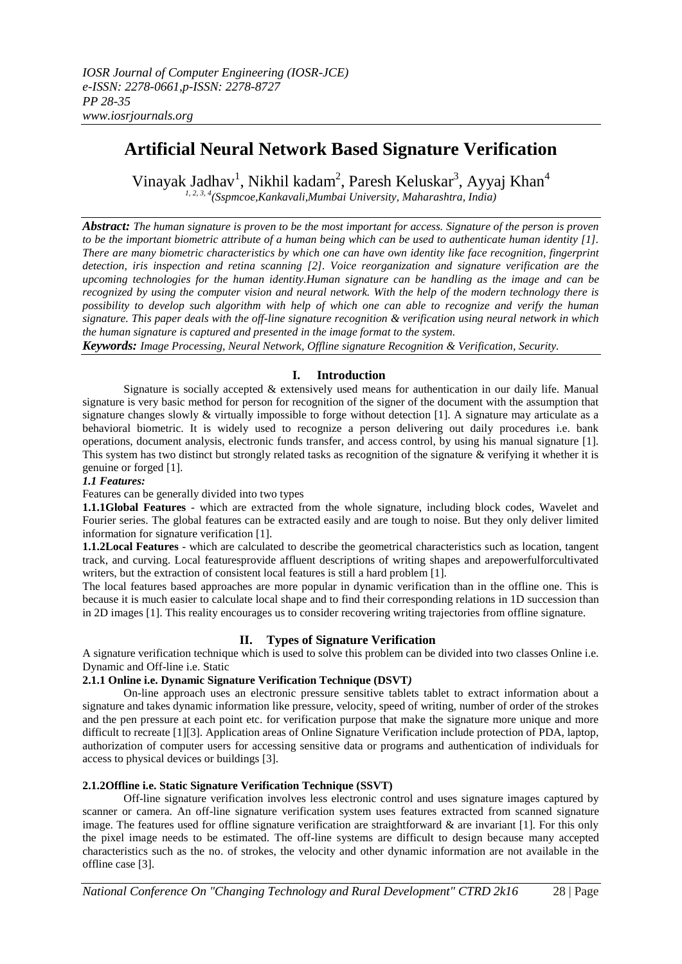# **Artificial Neural Network Based Signature Verification**

Vinayak Jadhav<sup>1</sup>, Nikhil kadam<sup>2</sup>, Paresh Keluskar<sup>3</sup>, Ayyaj Khan<sup>4</sup> *1, 2, 3, 4(Sspmcoe,Kankavali,Mumbai University, Maharashtra, India)*

*Abstract: The human signature is proven to be the most important for access. Signature of the person is proven to be the important biometric attribute of a human being which can be used to authenticate human identity [1]. There are many biometric characteristics by which one can have own identity like face recognition, fingerprint detection, iris inspection and retina scanning [2]. Voice reorganization and signature verification are the upcoming technologies for the human identity.Human signature can be handling as the image and can be recognized by using the computer vision and neural network. With the help of the modern technology there is possibility to develop such algorithm with help of which one can able to recognize and verify the human signature. This paper deals with the off-line signature recognition & verification using neural network in which the human signature is captured and presented in the image format to the system.*

*Keywords: Image Processing, Neural Network, Offline signature Recognition & Verification, Security.*

# **I. Introduction**

Signature is socially accepted & extensively used means for authentication in our daily life. Manual signature is very basic method for person for recognition of the signer of the document with the assumption that signature changes slowly  $&$  virtually impossible to forge without detection [1]. A signature may articulate as a behavioral biometric. It is widely used to recognize a person delivering out daily procedures i.e. bank operations, document analysis, electronic funds transfer, and access control, by using his manual signature [1]. This system has two distinct but strongly related tasks as recognition of the signature & verifying it whether it is genuine or forged [1].

# *1.1 Features:*

Features can be generally divided into two types

**1.1.1Global Features** *-* which are extracted from the whole signature, including block codes, Wavelet and Fourier series. The global features can be extracted easily and are tough to noise. But they only deliver limited information for signature verification [1].

**1.1.2Local Features** - which are calculated to describe the geometrical characteristics such as location, tangent track, and curving. Local featuresprovide affluent descriptions of writing shapes and arepowerfulforcultivated writers, but the extraction of consistent local features is still a hard problem [1].

The local features based approaches are more popular in dynamic verification than in the offline one. This is because it is much easier to calculate local shape and to find their corresponding relations in 1D succession than in 2D images [1]. This reality encourages us to consider recovering writing trajectories from offline signature.

# **II. Types of Signature Verification**

A signature verification technique which is used to solve this problem can be divided into two classes Online i.e. Dynamic and Off-line i.e. Static

# **2.1.1 Online i.e. Dynamic Signature Verification Technique (DSVT***)*

On-line approach uses an electronic pressure sensitive tablets tablet to extract information about a signature and takes dynamic information like pressure, velocity, speed of writing, number of order of the strokes and the pen pressure at each point etc. for verification purpose that make the signature more unique and more difficult to recreate [1][3]. Application areas of Online Signature Verification include protection of PDA, laptop, authorization of computer users for accessing sensitive data or programs and authentication of individuals for access to physical devices or buildings [3].

# **2.1.2Offline i.e. Static Signature Verification Technique (SSVT)**

Off-line signature verification involves less electronic control and uses signature images captured by scanner or camera. An off-line signature verification system uses features extracted from scanned signature image. The features used for offline signature verification are straightforward & are invariant [1]. For this only the pixel image needs to be estimated. The off-line systems are difficult to design because many accepted characteristics such as the no. of strokes, the velocity and other dynamic information are not available in the offline case [3].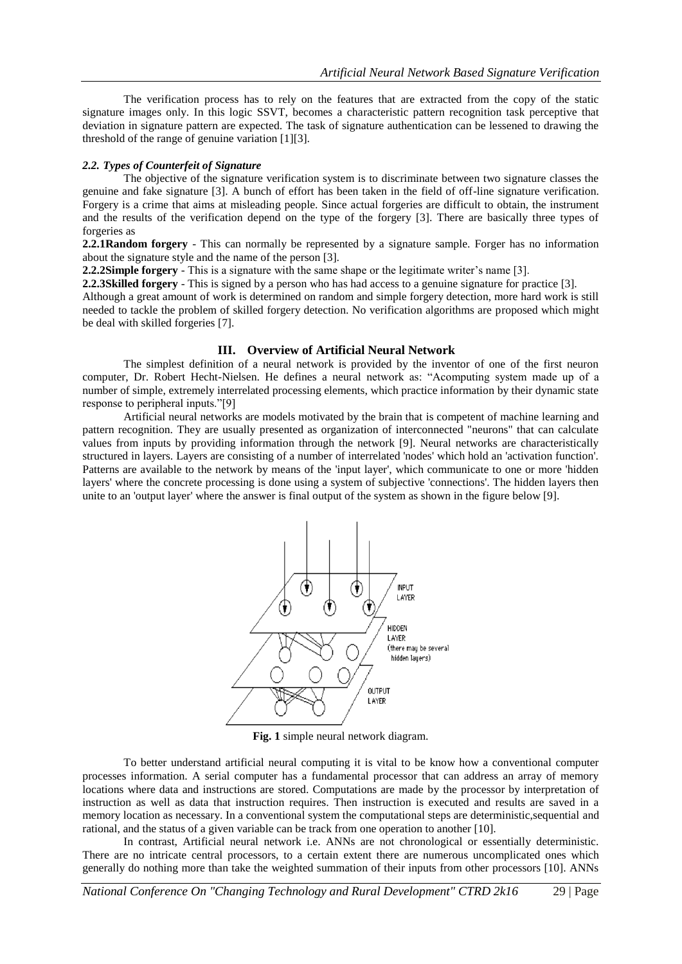The verification process has to rely on the features that are extracted from the copy of the static signature images only. In this logic SSVT, becomes a characteristic pattern recognition task perceptive that deviation in signature pattern are expected. The task of signature authentication can be lessened to drawing the threshold of the range of genuine variation [1][3].

#### *2.2. Types of Counterfeit of Signature*

The objective of the signature verification system is to discriminate between two signature classes the genuine and fake signature [3]. A bunch of effort has been taken in the field of off-line signature verification. Forgery is a crime that aims at misleading people. Since actual forgeries are difficult to obtain, the instrument and the results of the verification depend on the type of the forgery [3]. There are basically three types of forgeries as

**2.2.1Random forgery** - This can normally be represented by a signature sample. Forger has no information about the signature style and the name of the person [3].

**2.2.2Simple forgery** - This is a signature with the same shape or the legitimate writer's name [3].

**2.2.3Skilled forgery** - This is signed by a person who has had access to a genuine signature for practice [3].

Although a great amount of work is determined on random and simple forgery detection, more hard work is still needed to tackle the problem of skilled forgery detection. No verification algorithms are proposed which might be deal with skilled forgeries [7].

#### **III. Overview of Artificial Neural Network**

The simplest definition of a neural network is provided by the inventor of one of the first neuron computer, Dr. Robert Hecht-Nielsen. He defines a neural network as: "Acomputing system made up of a number of simple, extremely interrelated processing elements, which practice information by their dynamic state response to peripheral inputs."[9]

Artificial neural networks are models motivated by the brain that is competent of machine learning and pattern recognition. They are usually presented as organization of interconnected "neurons" that can calculate values from inputs by providing information through the network [9]. Neural networks are characteristically structured in layers. Layers are consisting of a number of interrelated 'nodes' which hold an 'activation function'. Patterns are available to the network by means of the 'input layer', which communicate to one or more 'hidden layers' where the concrete processing is done using a system of subjective 'connections'. The hidden layers then unite to an 'output layer' where the answer is final output of the system as shown in the figure below [9].



**Fig. 1** simple neural network diagram.

To better understand artificial neural computing it is vital to be know how a conventional computer processes information. A serial computer has a fundamental processor that can address an array of memory locations where data and instructions are stored. Computations are made by the processor by interpretation of instruction as well as data that instruction requires. Then instruction is executed and results are saved in a memory location as necessary. In a conventional system the computational steps are deterministic,sequential and rational, and the status of a given variable can be track from one operation to another [10].

In contrast, Artificial neural network i.e. ANNs are not chronological or essentially deterministic. There are no intricate central processors, to a certain extent there are numerous uncomplicated ones which generally do nothing more than take the weighted summation of their inputs from other processors [10]. ANNs

*National Conference On "Changing Technology and Rural Development" CTRD 2k16* 29 | Page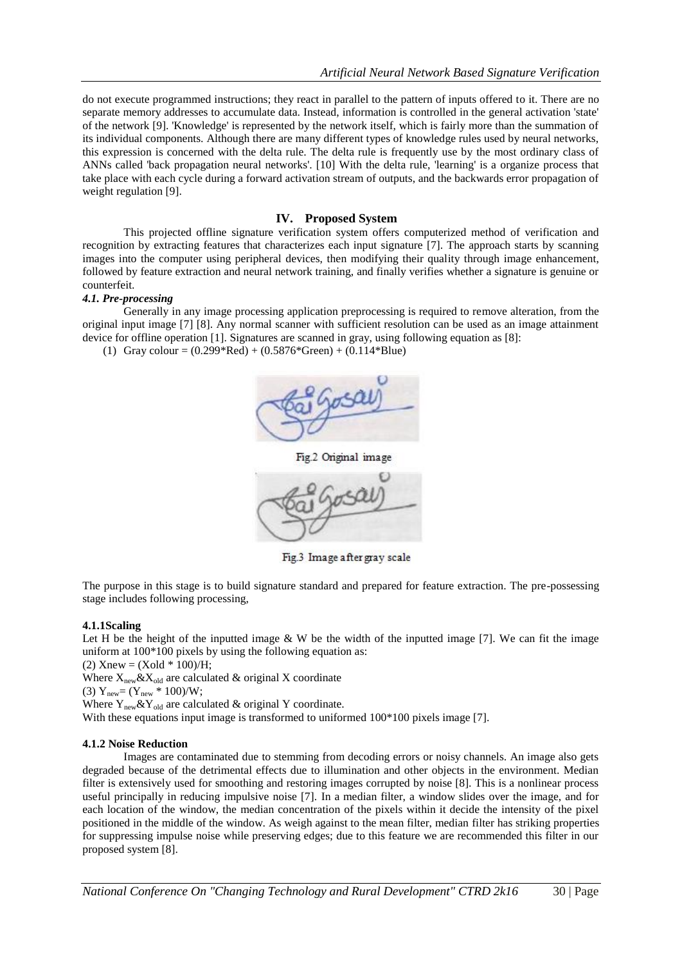do not execute programmed instructions; they react in parallel to the pattern of inputs offered to it. There are no separate memory addresses to accumulate data. Instead, information is controlled in the general activation 'state' of the network [9]. 'Knowledge' is represented by the network itself, which is fairly more than the summation of its individual components. Although there are many different types of knowledge rules used by neural networks, this expression is concerned with the delta rule. The delta rule is frequently use by the most ordinary class of ANNs called 'back propagation neural networks'. [10] With the delta rule, 'learning' is a organize process that take place with each cycle during a forward activation stream of outputs, and the backwards error propagation of weight regulation [9].

# **IV. Proposed System**

This projected offline signature verification system offers computerized method of verification and recognition by extracting features that characterizes each input signature [7]. The approach starts by scanning images into the computer using peripheral devices, then modifying their quality through image enhancement, followed by feature extraction and neural network training, and finally verifies whether a signature is genuine or counterfeit.

#### *4.1. Pre-processing*

Generally in any image processing application preprocessing is required to remove alteration, from the original input image [7] [8]. Any normal scanner with sufficient resolution can be used as an image attainment device for offline operation [1]. Signatures are scanned in gray, using following equation as [8]:

(1) Gray colour =  $(0.299*Red) + (0.5876*Green) + (0.114*Blue)$ 



Fig.3 Image after gray scale

The purpose in this stage is to build signature standard and prepared for feature extraction. The pre-possessing stage includes following processing,

#### **4.1.1Scaling**

Let H be the height of the inputted image  $&$  W be the width of the inputted image [7]. We can fit the image uniform at 100\*100 pixels by using the following equation as:

(2) Xnew =  $(Xold * 100)/H$ ;

Where  $X_{\text{new}} \& X_{\text{old}}$  are calculated  $\&$  original X coordinate

(3)  $Y_{\text{new}} = (Y_{\text{new}} * 100) / W;$ 

Where  $Y_{\text{new}} \& Y_{\text{old}}$  are calculated  $\&$  original Y coordinate.

With these equations input image is transformed to uniformed  $100*100$  pixels image [7].

#### **4.1.2 Noise Reduction**

Images are contaminated due to stemming from decoding errors or noisy channels. An image also gets degraded because of the detrimental effects due to illumination and other objects in the environment. Median filter is extensively used for smoothing and restoring images corrupted by noise [8]. This is a nonlinear process useful principally in reducing impulsive noise [7]. In a median filter, a window slides over the image, and for each location of the window, the median concentration of the pixels within it decide the intensity of the pixel positioned in the middle of the window. As weigh against to the mean filter, median filter has striking properties for suppressing impulse noise while preserving edges; due to this feature we are recommended this filter in our proposed system [8].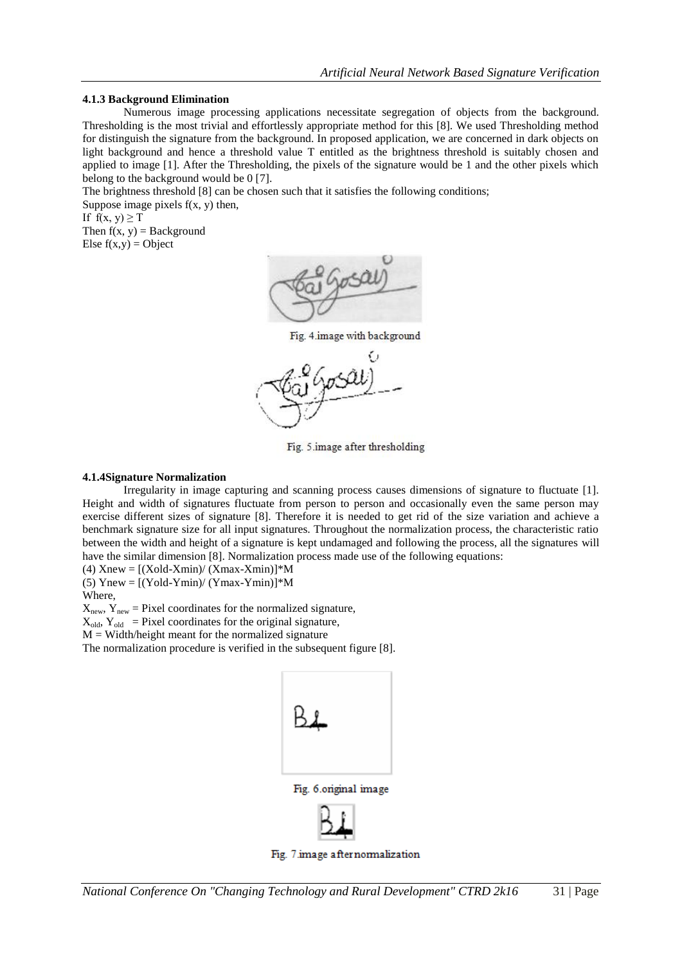# **4.1.3 Background Elimination**

Numerous image processing applications necessitate segregation of objects from the background. Thresholding is the most trivial and effortlessly appropriate method for this [8]. We used Thresholding method for distinguish the signature from the background. In proposed application, we are concerned in dark objects on light background and hence a threshold value T entitled as the brightness threshold is suitably chosen and applied to image [1]. After the Thresholding, the pixels of the signature would be 1 and the other pixels which belong to the background would be 0 [7].

The brightness threshold [8] can be chosen such that it satisfies the following conditions;

Suppose image pixels  $f(x, y)$  then, If  $f(x, y) \geq T$ Then  $f(x, y) =$  Background

Else  $f(x,y) =$ Object



Fig. 4.image with background



Fig. 5 image after thresholding

# **4.1.4Signature Normalization**

Irregularity in image capturing and scanning process causes dimensions of signature to fluctuate [1]. Height and width of signatures fluctuate from person to person and occasionally even the same person may exercise different sizes of signature [8]. Therefore it is needed to get rid of the size variation and achieve a benchmark signature size for all input signatures. Throughout the normalization process, the characteristic ratio between the width and height of a signature is kept undamaged and following the process, all the signatures will have the similar dimension [8]. Normalization process made use of the following equations:

(4)  $Xnew = [(Xold-Xmin)/(Xmax-Xmin)]^*M$ (5) Ynew =  $[(Yold-Ymin)/(Ymax-Ymin)]$ <sup>\*</sup>M

Where,

 $X_{\text{new}}$ ,  $Y_{\text{new}}$  = Pixel coordinates for the normalized signature,

 $X_{old}$ ,  $Y_{old}$  = Pixel coordinates for the original signature,

 $M = Width/height$  meant for the normalized signature

The normalization procedure is verified in the subsequent figure [8].



Fig. 7.image after normalization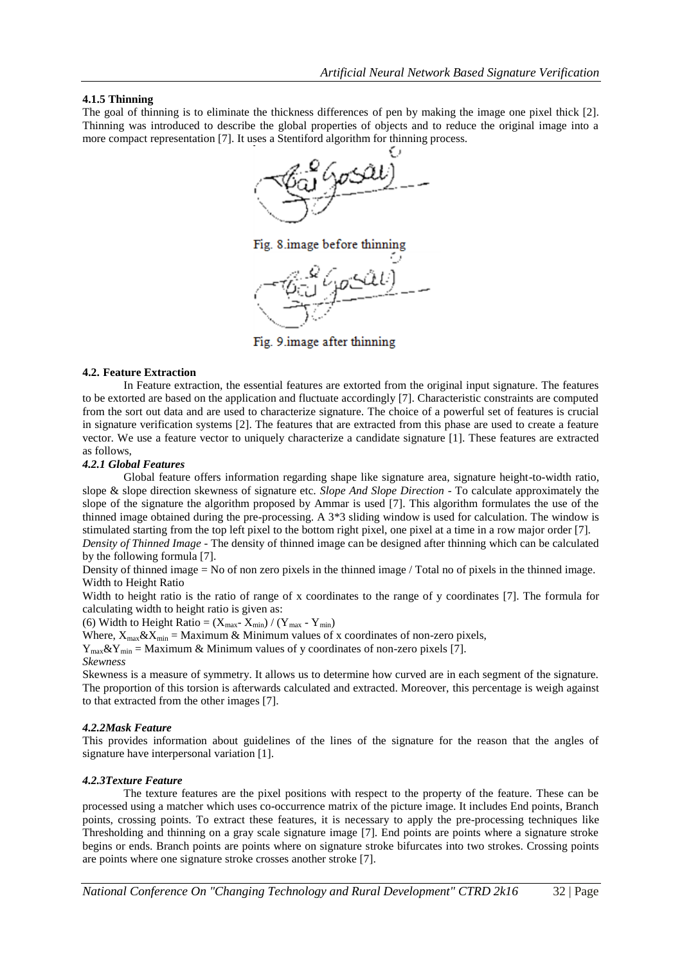# **4.1.5 Thinning**

The goal of thinning is to eliminate the thickness differences of pen by making the image one pixel thick [2]. Thinning was introduced to describe the global properties of objects and to reduce the original image into a more compact representation [7]. It uses a Stentiford algorithm for thinning process.



Fig. 8.image before thinning

Fig. 9. image after thinning

#### **4.2. Feature Extraction**

In Feature extraction, the essential features are extorted from the original input signature. The features to be extorted are based on the application and fluctuate accordingly [7]. Characteristic constraints are computed from the sort out data and are used to characterize signature. The choice of a powerful set of features is crucial in signature verification systems [2]. The features that are extracted from this phase are used to create a feature vector. We use a feature vector to uniquely characterize a candidate signature [1]. These features are extracted as follows,

# *4.2.1 Global Features*

Global feature offers information regarding shape like signature area, signature height-to-width ratio, slope & slope direction skewness of signature etc. *Slope And Slope Direction -* To calculate approximately the slope of the signature the algorithm proposed by Ammar is used [7]. This algorithm formulates the use of the thinned image obtained during the pre-processing. A 3\*3 sliding window is used for calculation. The window is stimulated starting from the top left pixel to the bottom right pixel, one pixel at a time in a row major order [7].

*Density of Thinned Image -* The density of thinned image can be designed after thinning which can be calculated by the following formula [7].

Density of thinned image = No of non zero pixels in the thinned image / Total no of pixels in the thinned image. Width to Height Ratio

Width to height ratio is the ratio of range of x coordinates to the range of y coordinates [7]. The formula for calculating width to height ratio is given as:

(6) Width to Height Ratio =  $(X_{\text{max}} - X_{\text{min}}) / (Y_{\text{max}} - Y_{\text{min}})$ 

Where,  $X_{max} \& X_{min} =$  Maximum  $\&$  Minimum values of x coordinates of non-zero pixels,

 $Y_{\text{max}} \& Y_{\text{min}} =$  Maximum  $\&$  Minimum values of y coordinates of non-zero pixels [7].

#### *Skewness*

Skewness is a measure of symmetry. It allows us to determine how curved are in each segment of the signature. The proportion of this torsion is afterwards calculated and extracted. Moreover, this percentage is weigh against to that extracted from the other images [7].

#### *4.2.2Mask Feature*

This provides information about guidelines of the lines of the signature for the reason that the angles of signature have interpersonal variation [1].

#### *4.2.3Texture Feature*

The texture features are the pixel positions with respect to the property of the feature. These can be processed using a matcher which uses co-occurrence matrix of the picture image. It includes End points, Branch points, crossing points. To extract these features, it is necessary to apply the pre-processing techniques like Thresholding and thinning on a gray scale signature image [7]. End points are points where a signature stroke begins or ends. Branch points are points where on signature stroke bifurcates into two strokes. Crossing points are points where one signature stroke crosses another stroke [7].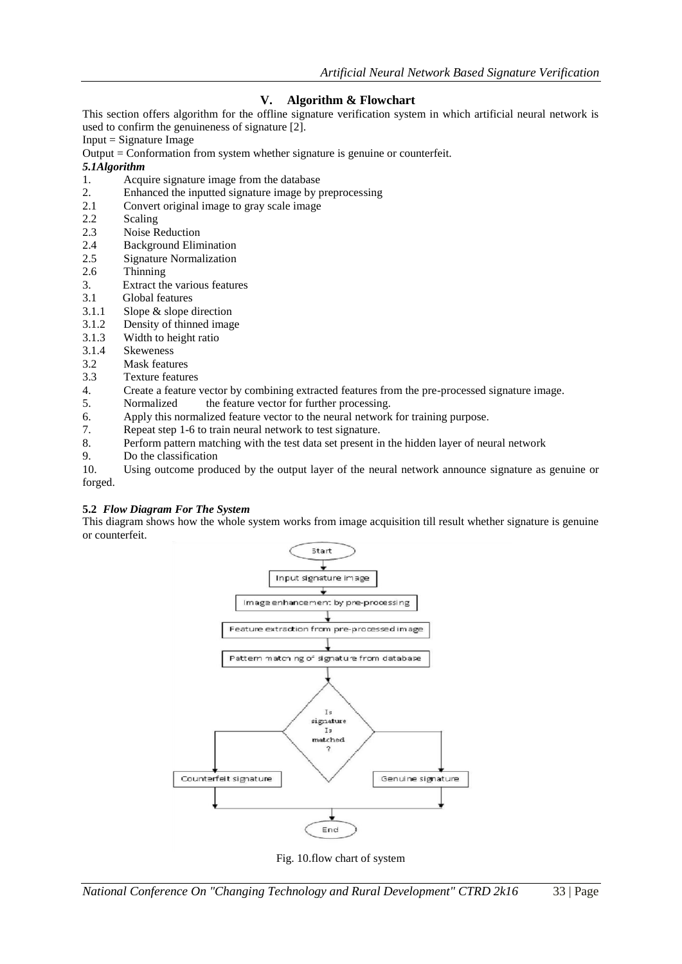# **V. Algorithm & Flowchart**

This section offers algorithm for the offline signature verification system in which artificial neural network is used to confirm the genuineness of signature [2].

 $Input = Signature Image$ 

Output = Conformation from system whether signature is genuine or counterfeit.

# *5.1Algorithm*

- 1. Acquire signature image from the database<br>2. Enhanced the inputted signature image by p
- 2. Enhanced the inputted signature image by preprocessing<br>2.1 Convert original image to gray scale image
- Convert original image to gray scale image
- 2.2 Scaling<br>2.3 Noise R
- 2.3 Noise Reduction<br>2.4 Background Elin
- 2.4 Background Elimination
- 2.5 Signature Normalization
- 2.6 Thinning
- 3. Extract the various features
- 3.1 Global features
- 3.1.1 Slope & slope direction
- 3.1.2 Density of thinned image
- 3.1.3 Width to height ratio<br>3.1.4 Skeweness
- **Skeweness**
- 3.2 Mask features
- 3.3 Texture features
- 4. Create a feature vector by combining extracted features from the pre-processed signature image.
- 5. Normalized the feature vector for further processing.
- 6. Apply this normalized feature vector to the neural network for training purpose.
- 7. Repeat step 1-6 to train neural network to test signature.
- 8. Perform pattern matching with the test data set present in the hidden layer of neural network
- 9. Do the classification

10. Using outcome produced by the output layer of the neural network announce signature as genuine or forged.

# **5.2** *Flow Diagram For The System*

This diagram shows how the whole system works from image acquisition till result whether signature is genuine or counterfeit.



Fig. 10.flow chart of system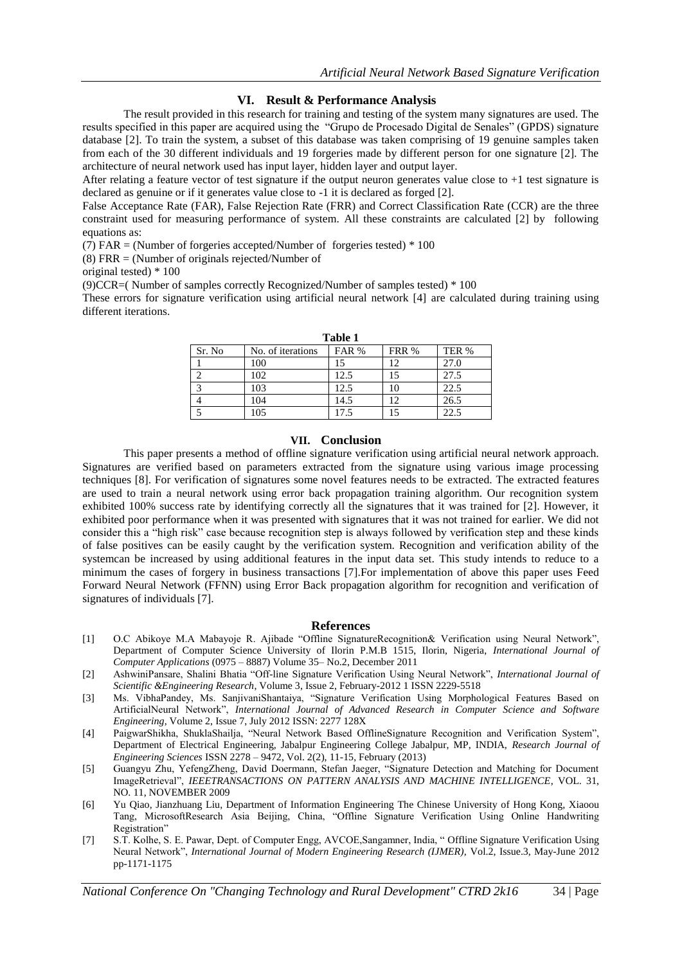# **VI. Result & Performance Analysis**

The result provided in this research for training and testing of the system many signatures are used. The results specified in this paper are acquired using the "Grupo de Procesado Digital de Senales" (GPDS) signature database [2]. To train the system, a subset of this database was taken comprising of 19 genuine samples taken from each of the 30 different individuals and 19 forgeries made by different person for one signature [2]. The architecture of neural network used has input layer, hidden layer and output layer.

After relating a feature vector of test signature if the output neuron generates value close to  $+1$  test signature is declared as genuine or if it generates value close to -1 it is declared as forged [2].

False Acceptance Rate (FAR), False Rejection Rate (FRR) and Correct Classification Rate (CCR) are the three constraint used for measuring performance of system. All these constraints are calculated [2] by following equations as:

(7) FAR = (Number of forgeries accepted/Number of forgeries tested)  $*100$ 

(8) FRR = (Number of originals rejected/Number of

original tested) \* 100

(9)CCR=( Number of samples correctly Recognized/Number of samples tested) \* 100

These errors for signature verification using artificial neural network [4] are calculated during training using different iterations.

| таріс т |                   |       |       |       |
|---------|-------------------|-------|-------|-------|
| Sr. No  | No. of iterations | FAR % | FRR % | TER % |
|         | 100               |       |       | 27.0  |
|         | 102               | 12.5  |       | 27.5  |
|         | 103               | 12.5  |       | 22.5  |
|         | 104               | 14.5  | 12    | 26.5  |
|         | 105               | 17.5  |       | 22.5  |

**Table 1**

#### **VII. Conclusion**

This paper presents a method of offline signature verification using artificial neural network approach. Signatures are verified based on parameters extracted from the signature using various image processing techniques [8]. For verification of signatures some novel features needs to be extracted. The extracted features are used to train a neural network using error back propagation training algorithm. Our recognition system exhibited 100% success rate by identifying correctly all the signatures that it was trained for [2]. However, it exhibited poor performance when it was presented with signatures that it was not trained for earlier. We did not consider this a "high risk" case because recognition step is always followed by verification step and these kinds of false positives can be easily caught by the verification system. Recognition and verification ability of the systemcan be increased by using additional features in the input data set. This study intends to reduce to a minimum the cases of forgery in business transactions [7].For implementation of above this paper uses Feed Forward Neural Network (FFNN) using Error Back propagation algorithm for recognition and verification of signatures of individuals [7].

#### **References**

- [1] O.C Abikoye M.A Mabayoje R. Ajibade "Offline SignatureRecognition& Verification using Neural Network", Department of Computer Science University of Ilorin P.M.B 1515, Ilorin, Nigeria, *International Journal of Computer Applications* (0975 – 8887) Volume 35– No.2, December 2011
- [2] AshwiniPansare, Shalini Bhatia "Off-line Signature Verification Using Neural Network", *International Journal of Scientific &Engineering Research*, Volume 3, Issue 2, February-2012 1 ISSN 2229-5518
- [3] Ms. VibhaPandey, Ms. SanjivaniShantaiya, "Signature Verification Using Morphological Features Based on ArtificialNeural Network", *International Journal of Advanced Research in Computer Science and Software Engineering*, Volume 2, Issue 7, July 2012 ISSN: 2277 128X
- [4] PaigwarShikha, ShuklaShailja, "Neural Network Based OfflineSignature Recognition and Verification System", Department of Electrical Engineering, Jabalpur Engineering College Jabalpur, MP, INDIA, *Research Journal of Engineering Sciences* ISSN 2278 – 9472, Vol. 2(2), 11-15, February (2013)
- [5] Guangyu Zhu, YefengZheng, David Doermann, Stefan Jaeger, "Signature Detection and Matching for Document ImageRetrieval", *IEEETRANSACTIONS ON PATTERN ANALYSIS AND MACHINE INTELLIGENCE*, VOL. 31, NO. 11, NOVEMBER 2009
- [6] Yu Qiao, Jianzhuang Liu, Department of Information Engineering The Chinese University of Hong Kong, Xiaoou Tang, MicrosoftResearch Asia Beijing, China, "Offline Signature Verification Using Online Handwriting Registration"
- [7] S.T. Kolhe, S. E. Pawar, Dept. of Computer Engg, AVCOE,Sangamner, India, " Offline Signature Verification Using Neural Network", *International Journal of Modern Engineering Research (IJMER),* Vol.2, Issue.3, May-June 2012 pp-1171-1175

*National Conference On "Changing Technology and Rural Development" CTRD 2k16* 34 | Page